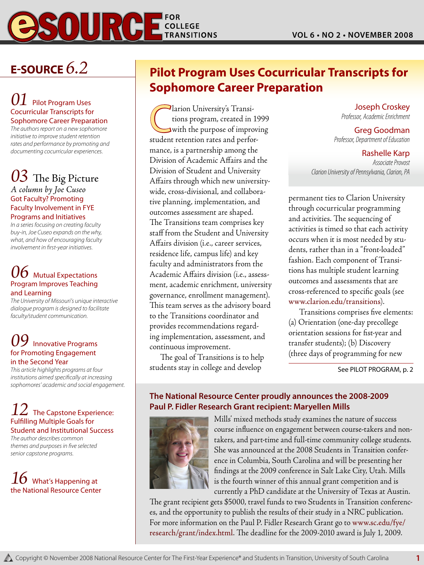

## **E-Source** *6.2*

### **Pilot Program Uses** Cocurricular Transcripts for Sophomore Career Preparation

*The authors report on a new sophomore initiative to improve student retention rates and performance by promoting and documenting cocurricular experiences.*

### *03* The Big Picture *A column by Joe Cuseo*

Got Faculty? Promoting Faculty Involvement in FYE

Programs and Initiatives

*In a series focusing on creating faculty buy-in, Joe Cuseo expands on the why, what, and how of encouraging faculty involvement in first-year initiatives.*

### $\bm{b}$  Mutual Expectations Program Improves Teaching and Learning

*The University of Missouri's unique interactive dialogue program is designed to facilitate faculty/student communication.* 

### **Innovative Programs** for Promoting Engagement in the Second Year

*This article highlights programs at four institutions aimed specifically at increasing sophomores' academic and social engagement.*

### **The Capstone Experience:** Fulfilling Multiple Goals for Student and Institutional Success

*The author describes common themes and purposes in five selected senior capstone programs.* 

### 16 What's Happening at the National Resource Center

### **Pilot Program Uses Cocurricular Transcripts for Sophomore Career Preparation**

Clarion University's Transi-<br>tions program, created in<br>with the purpose of impro tions program, created in 1999 with the purpose of improving student retention rates and performance, is a partnership among the Division of Academic Affairs and the Division of Student and University Affairs through which new universitywide, cross-divisional, and collaborative planning, implementation, and outcomes assessment are shaped. The Transitions team comprises key staff from the Student and University Affairs division (i.e., career services, residence life, campus life) and key faculty and administrators from the Academic Affairs division (i.e., assessment, academic enrichment, university governance, enrollment management). This team serves as the advisory board to the Transitions coordinator and provides recommendations regarding implementation, assessment, and continuous improvement.

The goal of Transitions is to help students stay in college and develop

Joseph Croskey *Professor, Academic Enrichment*

 Greg Goodman *Professor, Department of Education*

Rashelle Karp *Associate Provost Clarion University of Pennsylvania, Clarion, PA*

permanent ties to Clarion University through cocurricular programming and activities. The sequencing of activities is timed so that each activity occurs when it is most needed by students, rather than in a "front-loaded" fashion. Each component of Transitions has multiple student learning outcomes and assessments that are cross-referenced to specific goals (see www.clarion.edu/transitions).

Transitions comprises five elements: (a) Orientation (one-day precollege orientation sessions for fist-year and transfer students); (b) Discovery (three days of programming for new

See PILOT PROGRAM, p. 2

### **The National Resource Center proudly announces the 2008-2009 Paul P. Fidler Research Grant recipient: Maryellen Mills**



Mills' mixed methods study examines the nature of success course influence on engagement between course-takers and nontakers, and part-time and full-time community college students. She was announced at the 2008 Students in Transition conference in Columbia, South Carolina and will be presenting her findings at the 2009 conference in Salt Lake City, Utah. Mills is the fourth winner of this annual grant competition and is currently a PhD candidate at the University of Texas at Austin.

The grant recipient gets \$5000, travel funds to two Students in Transition conferences, and the opportunity to publish the results of their study in a NRC publication. For more information on the Paul P. Fidler Research Grant go to www.sc.edu/fye/ research/grant/index.html. The deadline for the 2009-2010 award is July 1, 2009.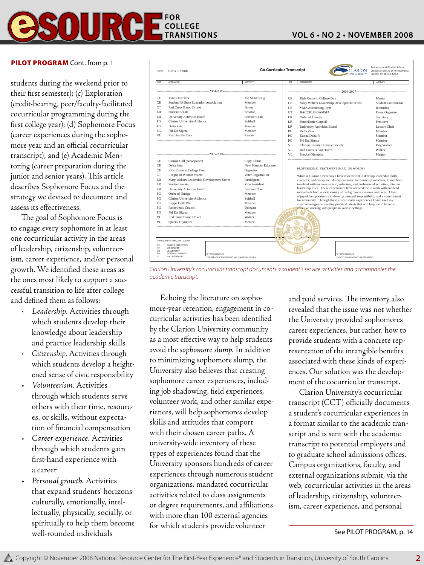### **FOR COLLEGE TRANSITIONS**

### **Vol 6 • No 2 • November 2008**

#### PILOT PROGRAM Cont. from p. 1

students during the weekend prior to their first semester); (c) Exploration (credit-bearing, peer/faculty-facilitated cocurricular programming during the first college year); (d) Sophomore Focus (career experiences during the sophomore year and an official cocurricular transcript); and (e) Academic Mentoring (career preparation during the junior and senior years). This article describes Sophomore Focus and the strategy we devised to document and assess its effectiveness.

The goal of Sophomore Focus is to engage every sophomore in at least one cocurricular activity in the areas of leadership, citizenship, volunteerism, career experience, and/or personal growth. We identified these areas as the ones most likely to support a successful transition to life after college and defined them as follows:

- Leadership. Activities through which students develop their knowledge about leadership and practice leadership skills
- *• Citizenship*. Activities through which students develop a heightened sense of civic responsibility
- • *Volunteerism*. Activities through which students serve others with their time, resources, or skills, without expectation of financial compensation
- *Career experience.* Activities through which students gain first-hand experience with a career
- Personal growth. Activities that expand students' horizons culturally, emotionally, intellectually, physically, socially, or spiritually to help them become well-rounded individuals



*Clarion University's cocurricular transcript documents a student's service activities and accompanies the academic transcript.*

Echoing the literature on sophomore-year retention, engagement in cocurricular activities has been identified by the Clarion University community as a most effective way to help students avoid the *sophomore slump*. In addition to minimizing sophomore slump, the University also believes that creating sophomore career experiences, including job shadowing, field experiences, volunteer work, and other similar experiences, will help sophomores develop skills and attitudes that comport with their chosen career paths. A university-wide inventory of these types of experiences found that the University sponsors hundreds of career experiences through numerous student organizations, mandated cocurricular activities related to class assignments or degree requirements, and affiliations with more than 100 external agencies for which students provide volunteer

and paid services. The inventory also revealed that the issue was not whether the University provided sophomores career experiences, but rather, how to provide students with a concrete representation of the intangible benefits associated with these kinds of experiences. Our solution was the development of the cocurricular transcript.

Clarion University's cocurricular transcript (CCT) officially documents a student's cocurricular experiences in a format similar to the academic transcript and is sent with the academic transcript to potential employers and to graduate school admissions offices. Campus organizations, faculty, and external organizations submit, via the web, cocurricular activities in the areas of leadership, citizenship, volunteerism, career experience, and personal

See PILOT PROGRAM, p. 14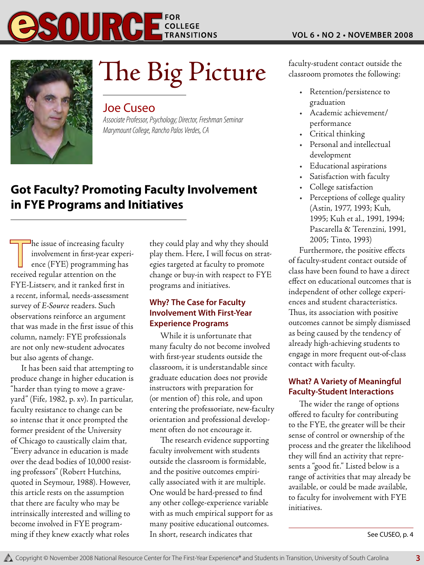



# The Big Picture faculty-student contact outside the

### Joe Cuseo

*Associate Professor, Psychology; Director, Freshman Seminar Marymount College, Rancho Palos Verdes, CA*

### **Got Faculty? Promoting Faculty Involvement in FYE Programs and Initiatives**

 $\exists$ he issue of increasing faculty involvement in first-year experience (FYE) programming has received regular attention on the FYE-Listserv, and it ranked first in a recent, informal, needs-assessment survey of *E-Source* readers. Such observations reinforce an argument that was made in the first issue of this column, namely: FYE professionals are not only new-student advocates but also agents of change.

It has been said that attempting to produce change in higher education is "harder than tying to move a graveyard" (Fife, 1982, p. xv). In particular, faculty resistance to change can be so intense that it once prompted the former president of the University of Chicago to caustically claim that, "Every advance in education is made over the dead bodies of 10,000 resisting professors" (Robert Hutchins, quoted in Seymour, 1988). However, this article rests on the assumption that there are faculty who may be intrinsically interested and willing to become involved in FYE programming if they knew exactly what roles

they could play and why they should play them. Here, I will focus on strategies targeted at faculty to promote change or buy-in with respect to FYE programs and initiatives.

### **Why? The Case for Faculty Involvement With First-Year Experience Programs**

While it is unfortunate that many faculty do not become involved with first-year students outside the classroom, it is understandable since graduate education does not provide instructors with preparation for (or mention of) this role, and upon entering the professoriate, new-faculty orientation and professional development often do not encourage it.

The research evidence supporting faculty involvement with students outside the classroom is formidable, and the positive outcomes empirically associated with it are multiple. One would be hard-pressed to find any other college-experience variable with as much empirical support for as many positive educational outcomes. In short, research indicates that

classroom promotes the following:

- • Retention/persistence to graduation
- • Academic achievement/ performance
- • Critical thinking
- • Personal and intellectual development
- • Educational aspirations
- Satisfaction with faculty
- • College satisfaction
- • Perceptions of college quality (Astin, 1977, 1993; Kuh, 1995; Kuh et al., 1991, 1994; Pascarella & Terenzini, 1991, 2005; Tinto, 1993)

Furthermore, the positive effects of faculty-student contact outside of class have been found to have a direct effect on educational outcomes that is independent of other college experiences and student characteristics. Thus, its association with positive outcomes cannot be simply dismissed as being caused by the tendency of already high-achieving students to engage in more frequent out-of-class contact with faculty.

### **What? A Variety of Meaningful Faculty-Student Interactions**

The wider the range of options offered to faculty for contributing to the FYE, the greater will be their sense of control or ownership of the process and the greater the likelihood they will find an activity that represents a "good fit." Listed below is a range of activities that may already be available, or could be made available, to faculty for involvement with FYE initiatives.

See CUSEO, p. 4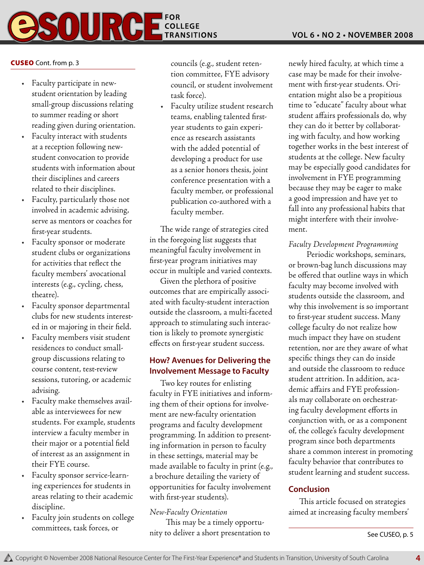# SOUR **COLLEGE**

### Cuseo Cont. from p. 3

- Faculty participate in newstudent orientation by leading small-group discussions relating to summer reading or short reading given during orientation.
- Faculty interact with students at a reception following newstudent convocation to provide students with information about their disciplines and careers related to their disciplines.
- Faculty, particularly those not involved in academic advising, serve as mentors or coaches for first-year students.
- Faculty sponsor or moderate student clubs or organizations for activities that reflect the faculty members' avocational interests (e.g., cycling, chess, theatre).
- • Faculty sponsor departmental clubs for new students interested in or majoring in their field.
- Faculty members visit student residences to conduct smallgroup discussions relating to course content, test-review sessions, tutoring, or academic advising.
- Faculty make themselves available as interviewees for new students. For example, students interview a faculty member in their major or a potential field of interest as an assignment in their FYE course.
- Faculty sponsor service-learning experiences for students in areas relating to their academic discipline.
- Faculty join students on college committees, task forces, or

councils (e.g., student retention committee, FYE advisory council, or student involvement task force).

• Faculty utilize student research teams, enabling talented firstyear students to gain experience as research assistants with the added potential of developing a product for use as a senior honors thesis, joint conference presentation with a faculty member, or professional publication co-authored with a faculty member.

The wide range of strategies cited in the foregoing list suggests that meaningful faculty involvement in first-year program initiatives may occur in multiple and varied contexts.

Given the plethora of positive outcomes that are empirically associated with faculty-student interaction outside the classroom, a multi-faceted approach to stimulating such interaction is likely to promote synergistic effects on first-year student success.

### **How? Avenues for Delivering the Involvement Message to Faculty**

Two key routes for enlisting faculty in FYE initiatives and informing them of their options for involvement are new-faculty orientation programs and faculty development programming. In addition to presenting information in person to faculty in these settings, material may be made available to faculty in print (e.g., a brochure detailing the variety of opportunities for faculty involvement with first-year students).

### *New-Faculty Orientation*

 This may be a timely opportunity to deliver a short presentation to newly hired faculty, at which time a case may be made for their involvement with first-year students. Orientation might also be a propitious time to "educate" faculty about what student affairs professionals do, why they can do it better by collaborating with faculty, and how working together works in the best interest of students at the college. New faculty may be especially good candidates for involvement in FYE programming because they may be eager to make a good impression and have yet to fall into any professional habits that might interfere with their involvement.

### *Faculty Development Programming*

 Periodic workshops, seminars, or brown-bag lunch discussions may be offered that outline ways in which faculty may become involved with students outside the classroom, and why this involvement is so important to first-year student success. Many college faculty do not realize how much impact they have on student retention, nor are they aware of what specific things they can do inside and outside the classroom to reduce student attrition. In addition, academic affairs and FYE professionals may collaborate on orchestrating faculty development efforts in conjunction with, or as a component of, the college's faculty development program since both departments share a common interest in promoting faculty behavior that contributes to student learning and student success.

### **Conclusion**

This article focused on strategies aimed at increasing faculty members'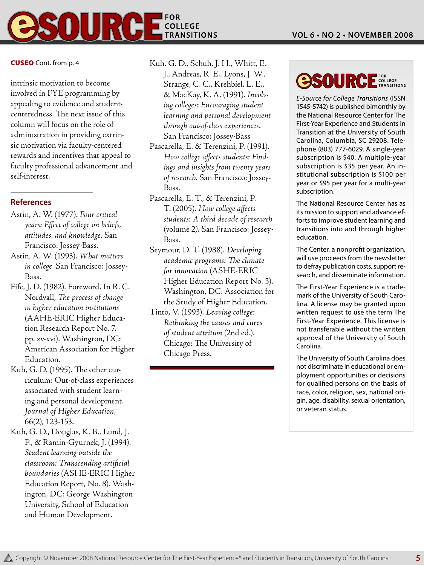### **FOR COLLEGE TRANSITIONS**

intrinsic motivation to become involved in FYE programming by appealing to evidence and studentcenteredness. The next issue of this column will focus on the role of administration in providing extrinsic motivation via faculty-centered rewards and incentives that appeal to faculty professional advancement and self-interest.

### **References**

- Astin, A. W. (1977). *Four critical years: Effect of college on beliefs, attitudes, and knowledge*. San Francisco: Jossey-Bass.
- Astin, A. W. (1993). *What matters in college*. San Francisco: Jossey-Bass.
- Fife, J. D. (1982). Foreword. In R. C. Nordvall, *The process of change in higher education institutions* (AAHE-ERIC Higher Education Research Report No. 7, pp. xv-xvi). Washington, DC: American Association for Higher Education.
- Kuh, G. D. (1995). The other curriculum: Out-of-class experiences associated with student learning and personal development. *Journal of Higher Education*, 66(2), 123-153.
- Kuh, G. D., Douglas, K. B., Lund, J. P., & Ramin-Gyurnek, J. (1994). *Student learning outside the classroom: Transcending artificial boundaries* (ASHE-ERIC Higher Education Report, No. 8). Washington, DC: George Washington University, School of Education and Human Development.
- CUSEO Cont. from p. 4 Kuh, G. D., Schuh, J. H., Whitt, E. J., Andreas, R. E., Lyons, J. W., Strange, C. C., Krehbiel, L. E., & MacKay, K. A. (1991). *Involving colleges: Encouraging student learning and personal development through out-of-class experiences*. San Francisco: Jossey-Bass
	- Pascarella, E. & Terenzini, P. (1991). *How college affects students: Findings and insights from twenty years of research*. San Francisco: Jossey-Bass.
	- Pascarella, E. T., & Terenzini, P. T. (2005). *How college affects students: A third decade of research* (volume 2*)*. San Francisco: Jossey-Bass.
	- Seymour, D. T. (1988). *Developing academic programs: The climate for innovation* (ASHE-ERIC Higher Education Report No. 3). Washington, DC: Association for the Study of Higher Education.
	- Tinto, V. (1993). *Leaving college: Rethinking the causes and cures of student attrition* (2nd ed.). Chicago: The University of Chicago Press.

### **FOR**<br>COLLEGE<br>**TRANSITIONS esourc**

*E-Source for College Transitions* (ISSN 1545-5742) is published bimonthly by the National Resource Center for The First-Year Experience and Students in Transition at the University of South Carolina, Columbia, SC 29208. Telephone (803) 777-6029. A single-year subscription is \$40. A multiple-year subscription is \$35 per year. An institutional subscription is \$100 per year or \$95 per year for a multi-year subscription.

The National Resource Center has as its mission to support and advance efforts to improve student learning and transitions into and through higher education.

The Center, a nonprofit organization, will use proceeds from the newsletter to defray publication costs, support research, and disseminate information.

The First-Year Experience is a trademark of the University of South Carolina. A license may be granted upon written request to use the term The First-Year Experience. This license is not transferable without the written approval of the University of South Carolina.

The University of South Carolina does not discriminate in educational or employment opportunities or decisions for qualified persons on the basis of race, color, religion, sex, national origin, age, disability, sexual orientation, or veteran status.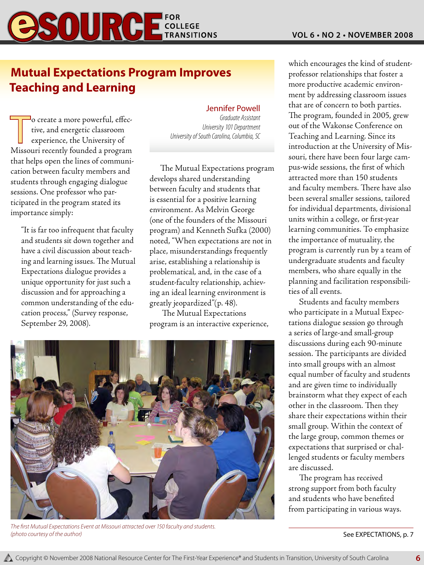## **ESOUR COLLEGE**

### **Mutual Expectations Program Improves Teaching and Learning**

To create a more powerful, effec-<br>tive, and energetic classroom<br>experience, the University of tive, and energetic classroom Missouri recently founded a program that helps open the lines of communication between faculty members and students through engaging dialogue sessions. One professor who participated in the program stated its importance simply:

"It is far too infrequent that faculty and students sit down together and have a civil discussion about teaching and learning issues. The Mutual Expectations dialogue provides a unique opportunity for just such a discussion and for approaching a common understanding of the education process," (Survey response, September 29, 2008).

### Jennifer Powell

*Graduate Assistant University 101 Department University of South Carolina, Columbia, SC*

The Mutual Expectations program develops shared understanding between faculty and students that is essential for a positive learning environment. As Melvin George (one of the founders of the Missouri program) and Kenneth Sufka (2000) noted, "When expectations are not in place, misunderstandings frequently arise, establishing a relationship is problematical, and, in the case of a student-faculty relationship, achieving an ideal learning environment is greatly jeopardized"(p. 48).

 The Mutual Expectations program is an interactive experience,



*The first Mutual Expectations Event at Missouri attracted over 150 faculty and students. (photo courtesy of the author)*

which encourages the kind of studentprofessor relationships that foster a more productive academic environment by addressing classroom issues that are of concern to both parties. The program, founded in 2005, grew out of the Wakonse Conference on Teaching and Learning. Since its introduction at the University of Missouri, there have been four large campus-wide sessions, the first of which attracted more than 150 students and faculty members. There have also been several smaller sessions, tailored for individual departments, divisional units within a college, or first-year learning communities. To emphasize the importance of mutuality, the program is currently run by a team of undergraduate students and faculty members, who share equally in the planning and facilitation responsibilities of all events.

Students and faculty members who participate in a Mutual Expectations dialogue session go through a series of large-and small-group discussions during each 90-minute session. The participants are divided into small groups with an almost equal number of faculty and students and are given time to individually brainstorm what they expect of each other in the classroom. Then they share their expectations within their small group. Within the context of the large group, common themes or expectations that surprised or challenged students or faculty members are discussed.

The program has received strong support from both faculty and students who have benefited from participating in various ways.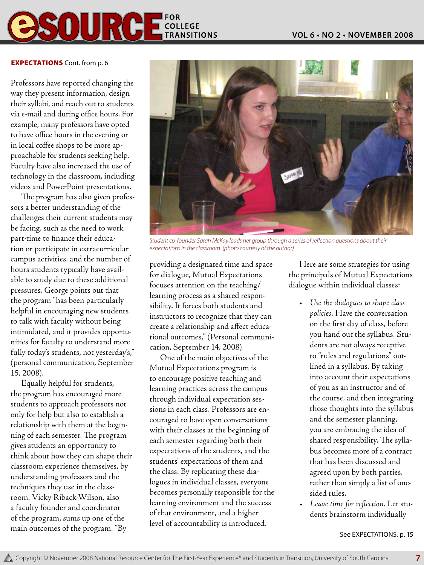

#### **EXPECTATIONS** Cont. from p. 6

Professors have reported changing the way they present information, design their syllabi, and reach out to students via e-mail and during office hours. For example, many professors have opted to have office hours in the evening or in local coffee shops to be more approachable for students seeking help. Faculty have also increased the use of technology in the classroom, including videos and PowerPoint presentations.

The program has also given professors a better understanding of the challenges their current students may be facing, such as the need to work part-time to finance their education or participate in extracurricular campus activities, and the number of hours students typically have available to study due to these additional pressures. George points out that the program "has been particularly helpful in encouraging new students to talk with faculty without being intimidated, and it provides opportunities for faculty to understand more fully today's students, not yesterday's," (personal communication, September 15, 2008).

Equally helpful for students, the program has encouraged more students to approach professors not only for help but also to establish a relationship with them at the beginning of each semester. The program gives students an opportunity to think about how they can shape their classroom experience themselves, by understanding professors and the techniques they use in the classroom. Vicky Riback-Wilson, also a faculty founder and coordinator of the program, sums up one of the main outcomes of the program: "By



*Student co-founder Sarah McKay leads her group through a series of reflection questions about their expectations in the classroom. (photo courtesy of the author)*

providing a designated time and space for dialogue, Mutual Expectations focuses attention on the teaching/ learning process as a shared responsibility. It forces both students and instructors to recognize that they can create a relationship and affect educational outcomes," (Personal communication, September 14, 2008).

One of the main objectives of the Mutual Expectations program is to encourage positive teaching and learning practices across the campus through individual expectation sessions in each class. Professors are encouraged to have open conversations with their classes at the beginning of each semester regarding both their expectations of the students, and the students' expectations of them and the class. By replicating these dialogues in individual classes, everyone becomes personally responsible for the learning environment and the success of that environment, and a higher level of accountability is introduced.

Here are some strategies for using the principals of Mutual Expectations dialogue within individual classes:

- • *Use the dialogues to shape class policies*. Have the conversation on the first day of class, before you hand out the syllabus. Students are not always receptive to "rules and regulations" outlined in a syllabus. By taking into account their expectations of you as an instructor and of the course, and then integrating those thoughts into the syllabus and the semester planning, you are embracing the idea of shared responsibility. The syllabus becomes more of a contract that has been discussed and agreed upon by both parties, rather than simply a list of onesided rules.
- • *Leave time for reflection*. Let students brainstorm individually

See EXPECTATIONS, p. 15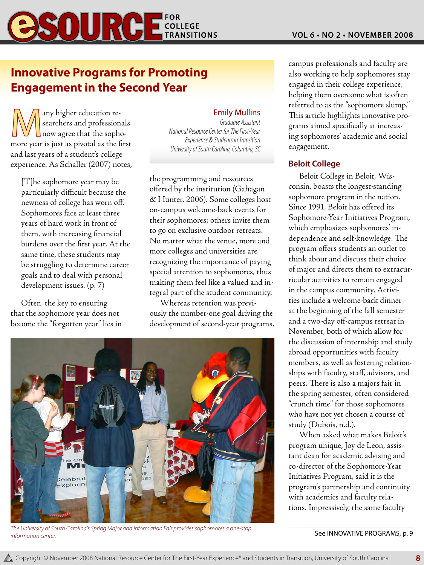

### **Innovative Programs for Promoting Engagement in the Second Year**

any higher education re-<br>
searchers and professional<br>
now agree that the sopho-<br>
more year is just as piyotal as the firm searchers and professionals more year is just as pivotal as the first and last years of a student's college experience. As Schaller (2007) notes,

[T]he sophomore year may be particularly difficult because the newness of college has worn off. Sophomores face at least three years of hard work in front of them, with increasing financial burdens over the first year. At the same time, these students may be struggling to determine career goals and to deal with personal development issues. (p. 7)

Often, the key to ensuring that the sophomore year does not become the "forgotten year" lies in

### Emily Mullins

*Graduate Assistant National Resource Center for The First-Year Experience & Students in Transition University of South Carolina, Columbia, SC*

the programming and resources offered by the institution (Gahagan & Hunter, 2006). Some colleges host on-campus welcome-back events for their sophomores; others invite them to go on exclusive outdoor retreats. No matter what the venue, more and more colleges and universities are recognizing the importance of paying special attention to sophomores, thus making them feel like a valued and integral part of the student community.

Whereas retention was previously the number-one goal driving the development of second-year programs,



The University of South Carolina's Spring Major and Information Fair provides sophomores a one-stop **See INNOVATIVE PROGRAMS, p. 9 See INNOVATIVE PROGRAMS, p. 9** *information center.*

campus professionals and faculty are also working to help sophomores stay engaged in their college experience, helping them overcome what is often referred to as the "sophomore slump." This article highlights innovative programs aimed specifically at increasing sophomores' academic and social engagement.

### **Beloit College**

Beloit College in Beloit, Wisconsin, boasts the longest-standing sophomore program in the nation. Since 1991, Beloit has offered its Sophomore-Year Initiatives Program, which emphasizes sophomores' independence and self-knowledge. The program offers students an outlet to think about and discuss their choice of major and directs them to extracurricular activities to remain engaged in the campus community. Activities include a welcome-back dinner at the beginning of the fall semester and a two-day off-campus retreat in November, both of which allow for the discussion of internship and study abroad opportunities with faculty members, as well as fostering relationships with faculty, staff, advisors, and peers. There is also a majors fair in the spring semester, often considered "crunch time" for those sophomores who have not yet chosen a course of study (Dubois, n.d.).

When asked what makes Beloit's program unique, Joy de Leon, assistant dean for academic advising and co-director of the Sophomore-Year Initiatives Program, said it is the program's partnership and continuity with academics and faculty relations. Impressively, the same faculty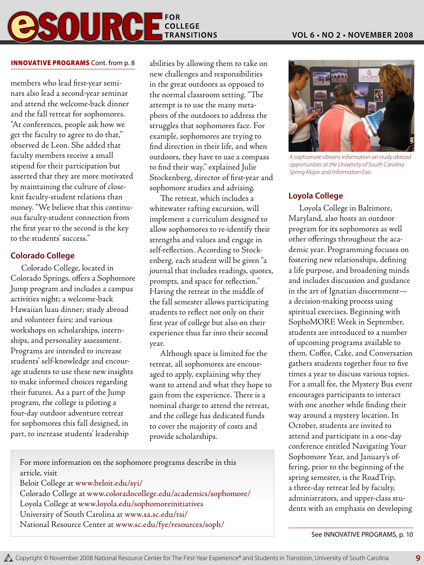#### **FOR**  $\mathbf{0}$ \_\_.<del>\_.</del><br>| COLLEGE **TRANSITIONS**

#### INNOVATIVE PROGRAMS Cont. from p. 8

members who lead first-year seminars also lead a second-year seminar and attend the welcome-back dinner and the fall retreat for sophomores. "At conferences, people ask how we get the faculty to agree to do that," observed de Leon. She added that faculty members receive a small stipend for their participation but asserted that they are more motivated by maintaining the culture of closeknit faculty-student relations than money. "We believe that this continuous faculty-student connection from the first year to the second is the key to the students' success."

### **Colorado College**

Colorado College, located in Colorado Springs, offers a Sophomore Jump program and includes a campus activities night; a welcome-back Hawaiian luau dinner; study abroad and volunteer fairs; and various workshops on scholarships, internships, and personality assessment. Programs are intended to increase students' self-knowledge and encourage students to use these new insights to make informed choices regarding their futures. As a part of the Jump program, the college is piloting a four-day outdoor adventure retreat for sophomores this fall designed, in part, to increase students' leadership

abilities by allowing them to take on new challenges and responsibilities in the great outdoors as opposed to the normal classroom setting. "The attempt is to use the many metaphors of the outdoors to address the struggles that sophomores face. For example, sophomores are trying to find direction in their life, and when outdoors, they have to use a compass to find their way," explained Julie Stockenberg, director of first-year and sophomore studies and advising.

The retreat, which includes a whitewater rafting excursion, will implement a curriculum designed to allow sophomores to re-identify their strengths and values and engage in self-reflection. According to Stockenberg, each student will be given "a journal that includes readings, quotes, prompts, and space for reflection." Having the retreat in the middle of the fall semester allows participating students to reflect not only on their first year of college but also on their experience thus far into their second year.

Although space is limited for the retreat, all sophomores are encouraged to apply, explaining why they want to attend and what they hope to gain from the experience. There is a nominal charge to attend the retreat, and the college has dedicated funds to cover the majority of costs and provide scholarships.

For more information on the sophomore programs describe in this article, visit Beloit College at www.beloit.edu/syi/

Colorado College at www.coloradocollege.edu/academics/sophomore/ Loyola College at www.loyola.edu/sophomoreinitiatives University of South Carolina at www.sa.sc.edu/tsi/ National Resource Center at www.sc.edu/fye/resources/soph/



*A sophomore obtains information on study abroad opportunities at the University of South Carolina Spring Major and Information Fair.*

### **Loyola College**

Loyola College in Baltimore, Maryland, also hosts an outdoor program for its sophomores as well other offerings throughout the academic year. Programming focuses on fostering new relationships, defining a life purpose, and broadening minds and includes discussion and guidance in the art of Ignatian discernment a decision-making process using spiritual exercises. Beginning with SophoMORE Week in September, students are introduced to a number of upcoming programs available to them. Coffee, Cake, and Conversation gathers students together four to five times a year to discuss various topics. For a small fee, the Mystery Bus event encourages participants to interact with one another while finding their way around a mystery location. In October, students are invited to attend and participate in a one-day conference entitled Navigating Your Sophomore Year, and January's offering, prior to the beginning of the spring semester, is the RoadTrip, a three-day retreat led by faculty, administrators, and upper-class students with an emphasis on developing

See INNOVATIVE PROGRAMS, p. 10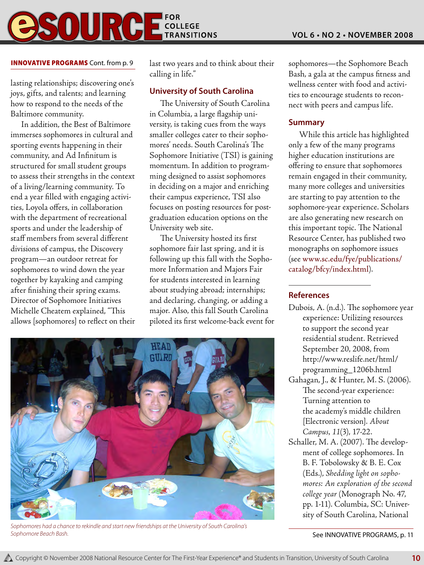## **COLLEGE TRANSITIONS**

### INNOVATIVE PROGRAMS Cont. from p. 9

lasting relationships; discovering one's joys, gifts, and talents; and learning how to respond to the needs of the Baltimore community.

In addition, the Best of Baltimore immerses sophomores in cultural and sporting events happening in their community, and Ad Infinitum is structured for small student groups to assess their strengths in the context of a living/learning community. To end a year filled with engaging activities, Loyola offers, in collaboration with the department of recreational sports and under the leadership of staff members from several different divisions of campus, the Discovery program—an outdoor retreat for sophomores to wind down the year together by kayaking and camping after finishing their spring exams. Director of Sophomore Initiatives Michelle Cheatem explained, "This allows [sophomores] to reflect on their

last two years and to think about their calling in life."

### **University of South Carolina**

The University of South Carolina in Columbia, a large flagship university, is taking cues from the ways smaller colleges cater to their sophomores' needs. South Carolina's The Sophomore Initiative (TSI) is gaining momentum. In addition to programming designed to assist sophomores in deciding on a major and enriching their campus experience, TSI also focuses on posting resources for postgraduation education options on the University web site.

The University hosted its first sophomore fair last spring, and it is following up this fall with the Sophomore Information and Majors Fair for students interested in learning about studying abroad; internships; and declaring, changing, or adding a major. Also, this fall South Carolina piloted its first welcome-back event for



*Sophomores had a chance to rekindle and start new friendships at the University of South Carolina's*  **Sophomore Beach Bash.** Sophomore Beach Bash. **p. 11** See INNOVATIVE PROGRAMS, p. 11

sophomores—the Sophomore Beach Bash, a gala at the campus fitness and wellness center with food and activities to encourage students to reconnect with peers and campus life.

### **Summary**

While this article has highlighted only a few of the many programs higher education institutions are offering to ensure that sophomores remain engaged in their community, many more colleges and universities are starting to pay attention to the sophomore-year experience. Scholars are also generating new research on this important topic. The National Resource Center, has published two monographs on sophomore issues (see www.sc.edu/fye/publications/ catalog/bfcy/index.html).

### **References**

- Dubois, A. (n.d.). The sophomore year experience: Utilizing resources to support the second year residential student. Retrieved September 20, 2008, from http://www.reslife.net/html/ programming\_1206b.html
- Gahagan, J., & Hunter, M. S. (2006). The second-year experience: Turning attention to the academy's middle children [Electronic version]. *About Campus*, *11*(3), 17-22.
- Schaller, M. A. (2007). The development of college sophomores. In B. F. Tobolowsky & B. E. Cox (Eds.), *Shedding light on sophomores: An exploration of the second college year* (Monograph No. 47, pp. 1-11). Columbia, SC: University of South Carolina, National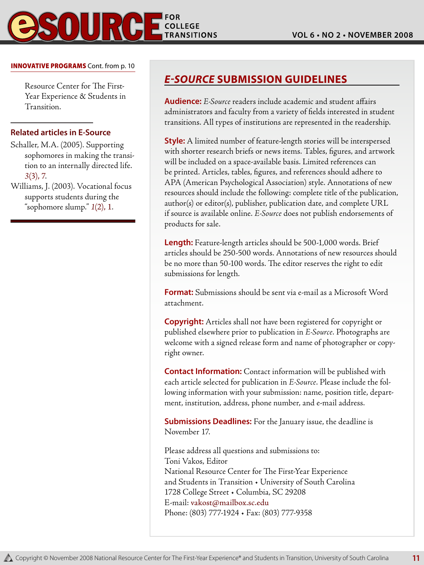**11**

#### INNOVATIVE PROGRAMS Cont. from p. 10

Resource Center for The First-Year Experience & Students in Transition.

### **Related articles in E-Source**

Schaller, M.A. (2005). Supporting sophomores in making the transition to an internally directed life. *3*(3), 7.

Williams, J. (2003). Vocational focus supports students during the "sophomore slump." *1*(2), 1.

### *E-Source* **Submission Guidelines**

**Audience:** *E-Source* readers include academic and student affairs administrators and faculty from a variety of fields interested in student transitions. All types of institutions are represented in the readership.

**Style:** A limited number of feature-length stories will be interspersed with shorter research briefs or news items. Tables, figures, and artwork will be included on a space-available basis. Limited references can be printed. Articles, tables, figures, and references should adhere to APA (American Psychological Association) style. Annotations of new resources should include the following: complete title of the publication, author(s) or editor(s), publisher, publication date, and complete URL if source is available online. *E-Source* does not publish endorsements of products for sale.

**Length:** Feature-length articles should be 500-1,000 words. Brief articles should be 250-500 words. Annotations of new resources should be no more than 50-100 words. The editor reserves the right to edit submissions for length.

**Format:** Submissions should be sent via e-mail as a Microsoft Word attachment.

**Copyright:** Articles shall not have been registered for copyright or published elsewhere prior to publication in *E-Source*. Photographs are welcome with a signed release form and name of photographer or copyright owner.

**Contact Information:** Contact information will be published with each article selected for publication in *E-Source*. Please include the following information with your submission: name, position title, department, institution, address, phone number, and e-mail address.

**Submissions Deadlines:** For the January issue, the deadline is November 17.

Please address all questions and submissions to: Toni Vakos, Editor National Resource Center for The First-Year Experience and Students in Transition • University of South Carolina 1728 College Street • Columbia, SC 29208 E-mail: vakost@mailbox.sc.edu Phone: (803) 777-1924 • Fax: (803) 777-9358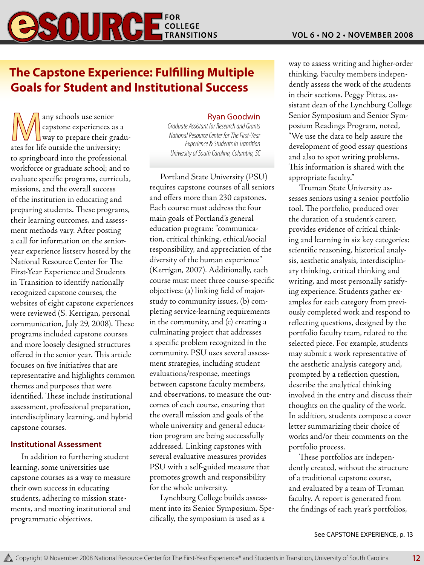# **BSOURGE**FOR

### **The Capstone Experience: Fulfilling Multiple Goals for Student and Institutional Success**

All any schools use senior<br>
capstone experiences as a<br>
way to prepare their graducapstone experiences as a ates for life outside the university; to springboard into the professional workforce or graduate school; and to evaluate specific programs, curricula, missions, and the overall success of the institution in educating and preparing students. These programs, their learning outcomes, and assessment methods vary. After posting a call for information on the senioryear experience listserv hosted by the National Resource Center for The First-Year Experience and Students in Transition to identify nationally recognized capstone courses, the websites of eight capstone experiences were reviewed (S. Kerrigan, personal communication, July 29, 2008). These programs included capstone courses and more loosely designed structures offered in the senior year. This article focuses on five initiatives that are representative and highlights common themes and purposes that were identified. These include institutional assessment, professional preparation, interdisciplinary learning, and hybrid capstone courses.

### **Institutional Assessment**

In addition to furthering student learning, some universities use capstone courses as a way to measure their own success in educating students, adhering to mission statements, and meeting institutional and programmatic objectives.

### Ryan Goodwin

*Graduate Assistant for Research and Grants National Resource Center for The First-Year Experience & Students in Transition University of South Carolina, Columbia, SC*

Portland State University (PSU) requires capstone courses of all seniors and offers more than 230 capstones. Each course must address the four main goals of Portland's general education program: "communication, critical thinking, ethical/social responsibility, and appreciation of the diversity of the human experience" (Kerrigan, 2007). Additionally, each course must meet three course-specific objectives: (a) linking field of majorstudy to community issues, (b) completing service-learning requirements in the community, and (c) creating a culminating project that addresses a specific problem recognized in the community. PSU uses several assessment strategies, including student evaluations/response, meetings between capstone faculty members, and observations, to measure the outcomes of each course, ensuring that the overall mission and goals of the whole university and general education program are being successfully addressed. Linking capstones with several evaluative measures provides PSU with a self-guided measure that promotes growth and responsibility for the whole university.

Lynchburg College builds assessment into its Senior Symposium. Specifically, the symposium is used as a

way to assess writing and higher-order thinking. Faculty members independently assess the work of the students in their sections. Peggy Pittas, assistant dean of the Lynchburg College Senior Symposium and Senior Symposium Readings Program, noted, "We use the data to help assure the development of good essay questions and also to spot writing problems. This information is shared with the appropriate faculty."

Truman State University assesses seniors using a senior portfolio tool. The portfolio, produced over the duration of a student's career, provides evidence of critical thinking and learning in six key categories: scientific reasoning, historical analysis, aesthetic analysis, interdisciplinary thinking, critical thinking and writing, and most personally satisfying experience. Students gather examples for each category from previously completed work and respond to reflecting questions, designed by the portfolio faculty team, related to the selected piece. For example, students may submit a work representative of the aesthetic analysis category and, prompted by a reflection question, describe the analytical thinking involved in the entry and discuss their thoughts on the quality of the work. In addition, students compose a cover letter summarizing their choice of works and/or their comments on the portfolio process.

These portfolios are independently created, without the structure of a traditional capstone course, and evaluated by a team of Truman faculty. A report is generated from the findings of each year's portfolios,

See CAPSTONE EXPERIENCE, p. 13

**12**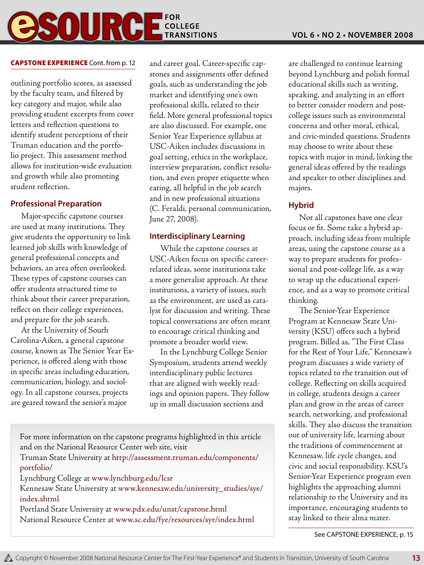### **COLLEGE FOR** SOUR

### **CAPSTONE EXPERIENCE** Cont. from p. 12

outlining portfolio scores, as assessed by the faculty team, and filtered by key category and major, while also providing student excerpts from cover letters and reflection questions to identify student perceptions of their Truman education and the portfolio project. This assessment method allows for institution-wide evaluation and growth while also promoting student reflection.

### **Professional Preparation**

Major-specific capstone courses are used at many institutions. They give students the opportunity to link learned job skills with knowledge of general professional concepts and behaviors, an area often overlooked. These types of capstone courses can offer students structured time to think about their career preparation, reflect on their college experiences, and prepare for the job search.

At the University of South Carolina-Aiken, a general capstone course, known as The Senior Year Experience, is offered along with those in specific areas including education, communication, biology, and sociology. In all capstone courses, projects are geared toward the senior's major

and career goal. Career-specific capstones and assignments offer defined goals, such as understanding the job market and identifying one's own professional skills, related to their field. More general professional topics are also discussed. For example, one Senior Year Experience syllabus at USC-Aiken includes discussions in goal setting, ethics in the workplace, interview preparation, conflict resolution, and even proper etiquette when eating, all helpful in the job search and in new professional situations (C. Feraldi, personal communication, June 27, 2008).

### **Interdisciplinary Learning**

While the capstone courses at USC-Aiken focus on specific careerrelated ideas, some institutions take a more generalist approach. At these institutions, a variety of issues, such as the environment, are used as catalyst for discussion and writing. These topical conversations are often meant to encourage critical thinking and promote a broader world view.

In the Lynchburg College Senior Symposium, students attend weekly interdisciplinary public lectures that are aligned with weekly readings and opinion papers. They follow up in small discussion sections and

For more information on the capstone programs highlighted in this article and on the National Resource Center web site, visit Truman State University at http://assessment.truman.edu/components/ portfolio/ Lynchburg College at www.lynchburg.edu/lcsr Kennesaw State University at www.kennesaw.edu/university\_studies/sye/ index.shtml Portland State University at www.pdx.edu/unst/capstone.html National Resource Center at www.sc.edu/fye/resources/syr/index.html

are challenged to continue learning beyond Lynchburg and polish formal educational skills such as writing, speaking, and analyzing in an effort to better consider modern and postcollege issues such as environmental concerns and other moral, ethical, and civic-minded questions. Students may choose to write about these topics with major in mind, linking the general ideas offered by the readings and speaker to other disciplines and majors.

### **Hybrid**

Not all capstones have one clear focus or fit. Some take a hybrid approach, including ideas from multiple areas, using the capstone course as a way to prepare students for professional and post-college life, as a way to wrap up the educational experience, and as a way to promote critical thinking.

The Senior-Year Experience Program at Kennesaw State University (KSU) offers such a hybrid program. Billed as, "The First Class for the Rest of Your Life," Kennesaw's program discusses a wide variety of topics related to the transition out of college. Reflecting on skills acquired in college, students design a career plan and grow in the areas of career search, networking, and professional skills. They also discuss the transition out of university life, learning about the traditions of commencement at Kennesaw, life cycle changes, and civic and social responsibility. KSU's Senior-Year Experience program even highlights the approaching alumni relationship to the University and its importance, encouraging students to stay linked to their alma mater.

See CAPSTONE EXPERIENCE, p. 15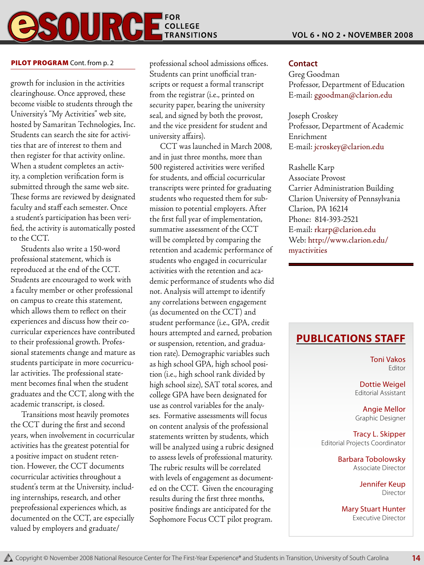#### **FOR**  $\mathbf{0}$  $\sum_{\text{COLLEGE}}$ **TRANSITIONS**

growth for inclusion in the activities clearinghouse. Once approved, these become visible to students through the University's "My Activities" web site, hosted by Samaritan Technologies, Inc. Students can search the site for activities that are of interest to them and then register for that activity online. When a student completes an activity, a completion verification form is submitted through the same web site. These forms are reviewed by designated faculty and staff each semester. Once a student's participation has been verified, the activity is automatically posted to the CCT.

Students also write a 150-word professional statement, which is reproduced at the end of the CCT. Students are encouraged to work with a faculty member or other professional on campus to create this statement, which allows them to reflect on their experiences and discuss how their cocurricular experiences have contributed to their professional growth. Professional statements change and mature as students participate in more cocurricular activities. The professional statement becomes final when the student graduates and the CCT, along with the academic transcript, is closed.

Transitions most heavily promotes the CCT during the first and second years, when involvement in cocurricular activities has the greatest potential for a positive impact on student retention. However, the CCT documents cocurricular activities throughout a student's term at the University, including internships, research, and other preprofessional experiences which, as documented on the CCT, are especially valued by employers and graduate/

**PILOT PROGRAM** Cont. from p. 2 **Contact** professional school admissions offices. Contact Students can print unofficial transcripts or request a formal transcript from the registrar (i.e., printed on security paper, bearing the university seal, and signed by both the provost, and the vice president for student and university affairs).

CCT was launched in March 2008, and in just three months, more than 500 registered activities were verified for students, and official cocurricular transcripts were printed for graduating students who requested them for submission to potential employers. After the first full year of implementation, summative assessment of the CCT will be completed by comparing the retention and academic performance of students who engaged in cocurricular activities with the retention and academic performance of students who did not. Analysis will attempt to identify any correlations between engagement (as documented on the CCT) and student performance (i.e., GPA, credit hours attempted and earned, probation or suspension, retention, and graduation rate). Demographic variables such as high school GPA, high school position (i.e., high school rank divided by high school size), SAT total scores, and college GPA have been designated for use as control variables for the analyses. Formative assessments will focus on content analysis of the professional statements written by students, which will be analyzed using a rubric designed to assess levels of professional maturity. The rubric results will be correlated with levels of engagement as documented on the CCT. Given the encouraging results during the first three months, positive findings are anticipated for the Sophomore Focus CCT pilot program.

Greg Goodman Professor, Department of Education E-mail: ggoodman@clarion.edu

Joseph Croskey Professor, Department of Academic Enrichment E-mail: jcroskey@clarion.edu

Rashelle Karp Associate Provost Carrier Administration Building Clarion University of Pennsylvania Clarion, PA 16214 Phone: 814-393-2521 E-mail: rkarp@clarion.edu Web: http://www.clarion.edu/ myactivities

### **Publications Staff**

Toni Vakos Editor

Dottie Weigel Editorial Assistant

Angie Mellor Graphic Designer

Tracy L. Skipper Editorial Projects Coordinator

> Barbara Tobolowsky Associate Director

> > Jennifer Keup Director

> > > **14**

Mary Stuart Hunter Executive Director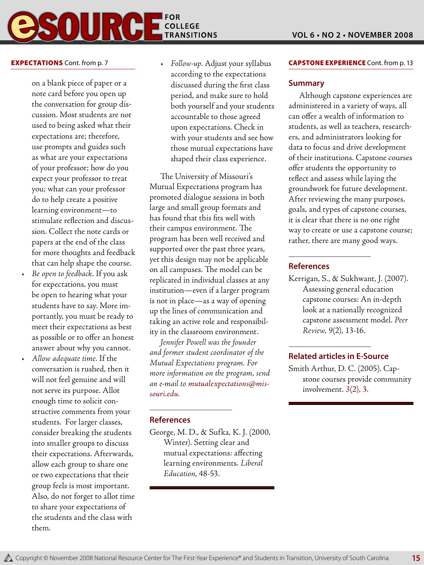### **FOR COLLEGE TRANSITIONS**

### **EXPECTATIONS** Cont. from p. 7

on a blank piece of paper or a note card before you open up the conversation for group discussion. Most students are not used to being asked what their expectations are; therefore, use prompts and guides such as what are your expectations of your professor; how do you expect your professor to treat you; what can your professor do to help create a positive learning environment—to stimulate reflection and discussion. Collect the note cards or papers at the end of the class for more thoughts and feedback that can help shape the course.

- • *Be open to feedback*. If you ask for expectations, you must be open to hearing what your students have to say. More importantly, you must be ready to meet their expectations as best as possible or to offer an honest answer about why you cannot.
- • *Allow adequate time*. If the conversation is rushed, then it will not feel genuine and will not serve its purpose. Allot enough time to solicit constructive comments from your students. For larger classes, consider breaking the students into smaller groups to discuss their expectations. Afterwards, allow each group to share one or two expectations that their group feels is most important. Also, do not forget to allot time to share your expectations of the students and the class with them.

• *Follow-up*. Adjust your syllabus according to the expectations discussed during the first class period, and make sure to hold both yourself and your students accountable to those agreed upon expectations. Check in with your students and see how those mutual expectations have shaped their class experience.

The University of Missouri's Mutual Expectations program has promoted dialogue sessions in both large and small group formats and has found that this fits well with their campus environment. The program has been well received and supported over the past three years, yet this design may not be applicable on all campuses. The model can be replicated in individual classes at any institution—even if a larger program is not in place—as a way of opening up the lines of communication and taking an active role and responsibility in the classroom environment.

*Jennifer Powell was the founder and former student coordinator of the Mutual Expectations program. For more information on the program, send an e-mail to mutualexpectations@missouri.edu.*

### **References**

George, M. D., & Sufka, K. J. (2000, Winter). Setting clear and mutual expectations: affecting learning environments. *Liberal Education*, 48-53.

### **CAPSTONE EXPERIENCE** Cont. from p. 13

### **Summary**

Although capstone experiences are administered in a variety of ways, all can offer a wealth of information to students, as well as teachers, researchers, and administrators looking for data to focus and drive development of their institutions. Capstone courses offer students the opportunity to reflect and assess while laying the groundwork for future development. After reviewing the many purposes, goals, and types of capstone courses, it is clear that there is no one right way to create or use a capstone course; rather, there are many good ways.

### **References**

Kerrigan, S., & Sukhwant, J. (2007). Assessing general education capstone courses: An in-depth look at a nationally recognized capstone assessment model. *Peer Review*, *9*(2), 13-16.

### **Related articles in E-Source**

Smith Arthur, D. C. (2005). Capstone courses provide community involvement. *3*(2), 3.

**15**